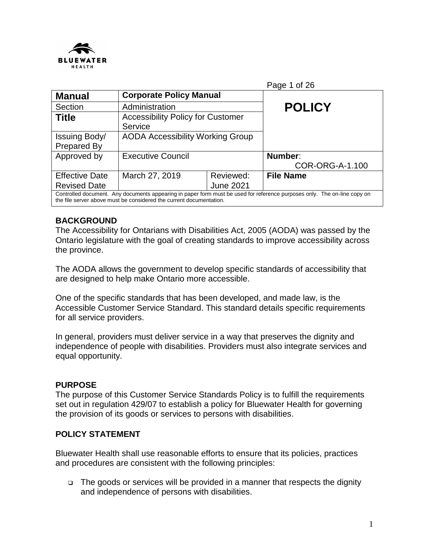

|                                                                                                                                                                                                 |                                          |                  | Page 1 of 26     |
|-------------------------------------------------------------------------------------------------------------------------------------------------------------------------------------------------|------------------------------------------|------------------|------------------|
| <b>Manual</b>                                                                                                                                                                                   | <b>Corporate Policy Manual</b>           |                  |                  |
| Section                                                                                                                                                                                         | Administration                           |                  | <b>POLICY</b>    |
| <b>Title</b>                                                                                                                                                                                    | <b>Accessibility Policy for Customer</b> |                  |                  |
|                                                                                                                                                                                                 | Service                                  |                  |                  |
| Issuing Body/                                                                                                                                                                                   | <b>AODA Accessibility Working Group</b>  |                  |                  |
| Prepared By                                                                                                                                                                                     |                                          |                  |                  |
| Approved by                                                                                                                                                                                     | <b>Executive Council</b>                 |                  | Number:          |
|                                                                                                                                                                                                 |                                          |                  | COR-ORG-A-1.100  |
| <b>Effective Date</b>                                                                                                                                                                           | March 27, 2019                           | Reviewed:        | <b>File Name</b> |
| <b>Revised Date</b>                                                                                                                                                                             |                                          | <b>June 2021</b> |                  |
| Controlled document. Any documents appearing in paper form must be used for reference purposes only. The on-line copy on<br>the file server above must be considered the current documentation. |                                          |                  |                  |

### **BACKGROUND**

The Accessibility for Ontarians with Disabilities Act, 2005 (AODA) was passed by the Ontario legislature with the goal of creating standards to improve accessibility across the province.

The AODA allows the government to develop specific standards of accessibility that are designed to help make Ontario more accessible.

One of the specific standards that has been developed, and made law, is the Accessible Customer Service Standard. This standard details specific requirements for all service providers.

In general, providers must deliver service in a way that preserves the dignity and independence of people with disabilities. Providers must also integrate services and equal opportunity.

### **PURPOSE**

The purpose of this Customer Service Standards Policy is to fulfill the requirements set out in regulation 429/07 to establish a policy for Bluewater Health for governing the provision of its goods or services to persons with disabilities.

### **POLICY STATEMENT**

Bluewater Health shall use reasonable efforts to ensure that its policies, practices and procedures are consistent with the following principles:

 The goods or services will be provided in a manner that respects the dignity and independence of persons with disabilities.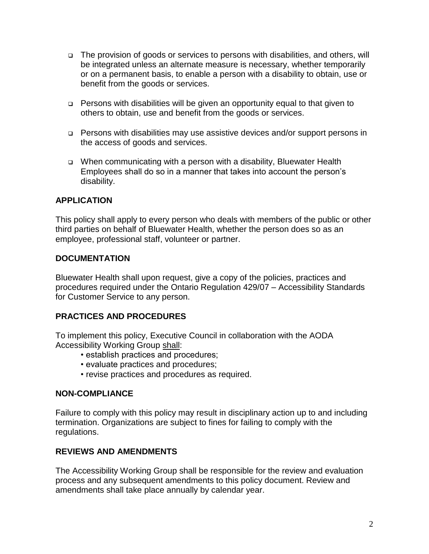- The provision of goods or services to persons with disabilities, and others, will be integrated unless an alternate measure is necessary, whether temporarily or on a permanent basis, to enable a person with a disability to obtain, use or benefit from the goods or services.
- Persons with disabilities will be given an opportunity equal to that given to others to obtain, use and benefit from the goods or services.
- Persons with disabilities may use assistive devices and/or support persons in the access of goods and services.
- When communicating with a person with a disability, Bluewater Health Employees shall do so in a manner that takes into account the person's disability.

### **APPLICATION**

This policy shall apply to every person who deals with members of the public or other third parties on behalf of Bluewater Health, whether the person does so as an employee, professional staff, volunteer or partner.

### **DOCUMENTATION**

Bluewater Health shall upon request, give a copy of the policies, practices and procedures required under the Ontario Regulation 429/07 – Accessibility Standards for Customer Service to any person.

### **PRACTICES AND PROCEDURES**

To implement this policy, Executive Council in collaboration with the AODA Accessibility Working Group shall:

- establish practices and procedures;
- evaluate practices and procedures;
- revise practices and procedures as required.

### **NON-COMPLIANCE**

Failure to comply with this policy may result in disciplinary action up to and including termination. Organizations are subject to fines for failing to comply with the regulations.

### **REVIEWS AND AMENDMENTS**

The Accessibility Working Group shall be responsible for the review and evaluation process and any subsequent amendments to this policy document. Review and amendments shall take place annually by calendar year.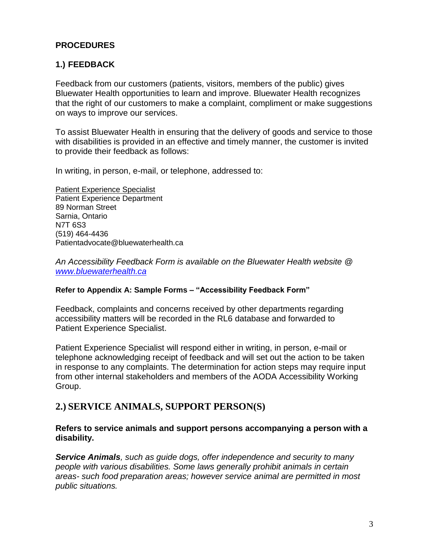### **PROCEDURES**

### **1.) FEEDBACK**

Feedback from our customers (patients, visitors, members of the public) gives Bluewater Health opportunities to learn and improve. Bluewater Health recognizes that the right of our customers to make a complaint, compliment or make suggestions on ways to improve our services.

To assist Bluewater Health in ensuring that the delivery of goods and service to those with disabilities is provided in an effective and timely manner, the customer is invited to provide their feedback as follows:

In writing, in person, e-mail, or telephone, addressed to:

Patient Experience Specialist Patient Experience Department 89 Norman Street Sarnia, Ontario N7T 6S3 (519) 464-4436 Patientadvocate@bluewaterhealth.ca

*An Accessibility Feedback Form is available on the Bluewater Health website @ [www.bluewaterhealth.ca](http://www.bluewaterhealth.ca/)*

#### **Refer to Appendix A: Sample Forms – "Accessibility Feedback Form"**

Feedback, complaints and concerns received by other departments regarding accessibility matters will be recorded in the RL6 database and forwarded to Patient Experience Specialist.

Patient Experience Specialist will respond either in writing, in person, e-mail or telephone acknowledging receipt of feedback and will set out the action to be taken in response to any complaints. The determination for action steps may require input from other internal stakeholders and members of the AODA Accessibility Working Group.

### **2.) SERVICE ANIMALS, SUPPORT PERSON(S)**

### **Refers to service animals and support persons accompanying a person with a disability.**

*Service Animals, such as guide dogs, offer independence and security to many people with various disabilities. Some laws generally prohibit animals in certain areas- such food preparation areas; however service animal are permitted in most public situations.*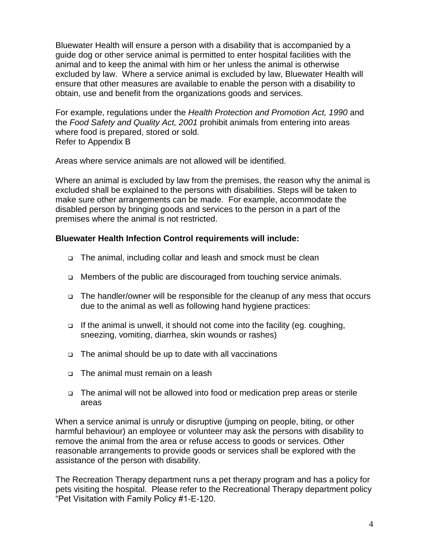Bluewater Health will ensure a person with a disability that is accompanied by a guide dog or other service animal is permitted to enter hospital facilities with the animal and to keep the animal with him or her unless the animal is otherwise excluded by law. Where a service animal is excluded by law, Bluewater Health will ensure that other measures are available to enable the person with a disability to obtain, use and benefit from the organizations goods and services.

For example, regulations under the *Health Protection and Promotion Act, 1990* and the *Food Safety and Quality Act, 2001* prohibit animals from entering into areas where food is prepared, stored or sold. Refer to Appendix B

Areas where service animals are not allowed will be identified.

Where an animal is excluded by law from the premises, the reason why the animal is excluded shall be explained to the persons with disabilities. Steps will be taken to make sure other arrangements can be made. For example, accommodate the disabled person by bringing goods and services to the person in a part of the premises where the animal is not restricted.

### **Bluewater Health Infection Control requirements will include:**

- □ The animal, including collar and leash and smock must be clean
- □ Members of the public are discouraged from touching service animals.
- The handler/owner will be responsible for the cleanup of any mess that occurs due to the animal as well as following hand hygiene practices:
- $\Box$  If the animal is unwell, it should not come into the facility (eg. coughing, sneezing, vomiting, diarrhea, skin wounds or rashes)
- $\Box$  The animal should be up to date with all vaccinations
- □ The animal must remain on a leash
- The animal will not be allowed into food or medication prep areas or sterile areas

When a service animal is unruly or disruptive (jumping on people, biting, or other harmful behaviour) an employee or volunteer may ask the persons with disability to remove the animal from the area or refuse access to goods or services. Other reasonable arrangements to provide goods or services shall be explored with the assistance of the person with disability.

The Recreation Therapy department runs a pet therapy program and has a policy for pets visiting the hospital. Please refer to the Recreational Therapy department policy "Pet Visitation with Family Policy #1-E-120.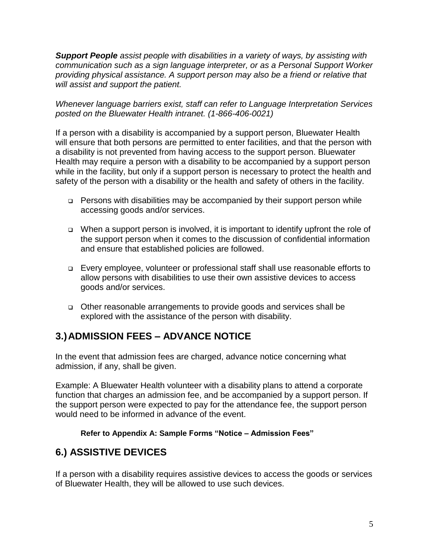*Support People assist people with disabilities in a variety of ways, by assisting with communication such as a sign language interpreter, or as a Personal Support Worker providing physical assistance. A support person may also be a friend or relative that will assist and support the patient.*

*Whenever language barriers exist, staff can refer to Language Interpretation Services posted on the Bluewater Health intranet. (1-866-406-0021)*

If a person with a disability is accompanied by a support person, Bluewater Health will ensure that both persons are permitted to enter facilities, and that the person with a disability is not prevented from having access to the support person. Bluewater Health may require a person with a disability to be accompanied by a support person while in the facility, but only if a support person is necessary to protect the health and safety of the person with a disability or the health and safety of others in the facility.

- $\Box$  Persons with disabilities may be accompanied by their support person while accessing goods and/or services.
- When a support person is involved, it is important to identify upfront the role of the support person when it comes to the discussion of confidential information and ensure that established policies are followed.
- Every employee, volunteer or professional staff shall use reasonable efforts to allow persons with disabilities to use their own assistive devices to access goods and/or services.
- Other reasonable arrangements to provide goods and services shall be explored with the assistance of the person with disability.

## **3.)ADMISSION FEES – ADVANCE NOTICE**

In the event that admission fees are charged, advance notice concerning what admission, if any, shall be given.

Example: A Bluewater Health volunteer with a disability plans to attend a corporate function that charges an admission fee, and be accompanied by a support person. If the support person were expected to pay for the attendance fee, the support person would need to be informed in advance of the event.

### **Refer to Appendix A: Sample Forms "Notice – Admission Fees"**

## **6.) ASSISTIVE DEVICES**

If a person with a disability requires assistive devices to access the goods or services of Bluewater Health, they will be allowed to use such devices.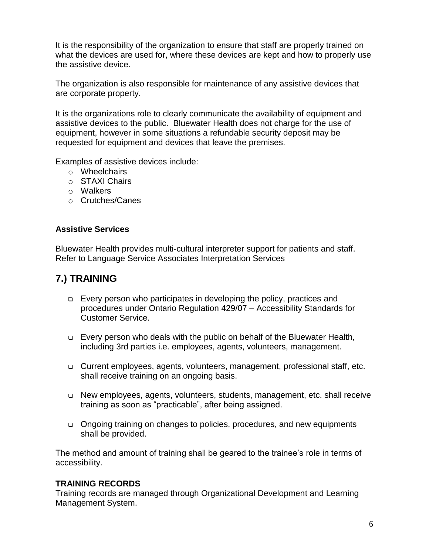It is the responsibility of the organization to ensure that staff are properly trained on what the devices are used for, where these devices are kept and how to properly use the assistive device.

The organization is also responsible for maintenance of any assistive devices that are corporate property.

It is the organizations role to clearly communicate the availability of equipment and assistive devices to the public. Bluewater Health does not charge for the use of equipment, however in some situations a refundable security deposit may be requested for equipment and devices that leave the premises.

Examples of assistive devices include:

- o Wheelchairs
- o STAXI Chairs
- o Walkers
- o Crutches/Canes

### **Assistive Services**

Bluewater Health provides multi-cultural interpreter support for patients and staff. Refer to Language Service Associates Interpretation Services

## **7.) TRAINING**

- Every person who participates in developing the policy, practices and procedures under Ontario Regulation 429/07 – Accessibility Standards for Customer Service.
- Every person who deals with the public on behalf of the Bluewater Health, including 3rd parties i.e. employees, agents, volunteers, management.
- Current employees, agents, volunteers, management, professional staff, etc. shall receive training on an ongoing basis.
- New employees, agents, volunteers, students, management, etc. shall receive training as soon as "practicable", after being assigned.
- Ongoing training on changes to policies, procedures, and new equipments shall be provided.

The method and amount of training shall be geared to the trainee's role in terms of accessibility.

### **TRAINING RECORDS**

Training records are managed through Organizational Development and Learning Management System.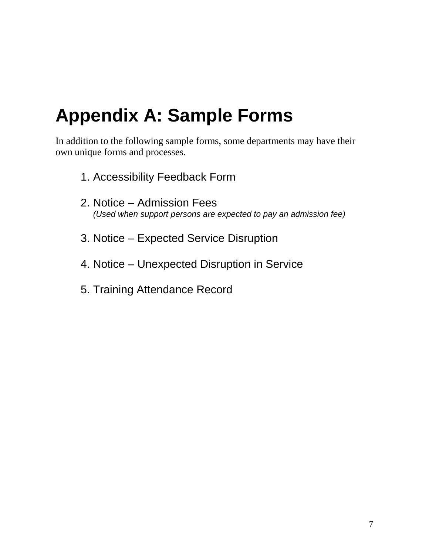## **Appendix A: Sample Forms**

In addition to the following sample forms, some departments may have their own unique forms and processes.

- 1. Accessibility Feedback Form
- 2. Notice Admission Fees *(Used when support persons are expected to pay an admission fee)*
- 3. Notice Expected Service Disruption
- 4. Notice Unexpected Disruption in Service
- 5. Training Attendance Record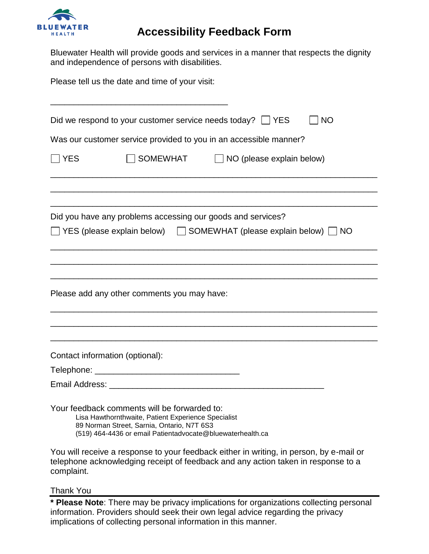

## **Accessibility Feedback Form**

Bluewater Health will provide goods and services in a manner that respects the dignity and independence of persons with disabilities.

Please tell us the date and time of your visit: \_\_\_\_\_\_\_\_\_\_\_\_\_\_\_\_\_\_\_\_\_\_\_\_\_\_\_\_\_\_\_\_\_\_\_\_\_\_ Did we respond to your customer service needs today?  $\Box$  YES  $\Box$  NO Was our customer service provided to you in an accessible manner?  $\Box$  YES  $\Box$  SOMEWHAT  $\Box$  NO (please explain below) \_\_\_\_\_\_\_\_\_\_\_\_\_\_\_\_\_\_\_\_\_\_\_\_\_\_\_\_\_\_\_\_\_\_\_\_\_\_\_\_\_\_\_\_\_\_\_\_\_\_\_\_\_\_\_\_\_\_\_\_\_\_\_\_\_\_\_\_\_\_ \_\_\_\_\_\_\_\_\_\_\_\_\_\_\_\_\_\_\_\_\_\_\_\_\_\_\_\_\_\_\_\_\_\_\_\_\_\_\_\_\_\_\_\_\_\_\_\_\_\_\_\_\_\_\_\_\_\_\_\_\_\_\_\_\_\_\_\_\_\_ \_\_\_\_\_\_\_\_\_\_\_\_\_\_\_\_\_\_\_\_\_\_\_\_\_\_\_\_\_\_\_\_\_\_\_\_\_\_\_\_\_\_\_\_\_\_\_\_\_\_\_\_\_\_\_\_\_\_\_\_\_\_\_\_\_\_\_\_\_\_ Did you have any problems accessing our goods and services?  $\Box$  YES (please explain below)  $\Box$  SOMEWHAT (please explain below)  $\Box$  NO \_\_\_\_\_\_\_\_\_\_\_\_\_\_\_\_\_\_\_\_\_\_\_\_\_\_\_\_\_\_\_\_\_\_\_\_\_\_\_\_\_\_\_\_\_\_\_\_\_\_\_\_\_\_\_\_\_\_\_\_\_\_\_\_\_\_\_\_\_\_ \_\_\_\_\_\_\_\_\_\_\_\_\_\_\_\_\_\_\_\_\_\_\_\_\_\_\_\_\_\_\_\_\_\_\_\_\_\_\_\_\_\_\_\_\_\_\_\_\_\_\_\_\_\_\_\_\_\_\_\_\_\_\_\_\_\_\_\_\_\_ \_\_\_\_\_\_\_\_\_\_\_\_\_\_\_\_\_\_\_\_\_\_\_\_\_\_\_\_\_\_\_\_\_\_\_\_\_\_\_\_\_\_\_\_\_\_\_\_\_\_\_\_\_\_\_\_\_\_\_\_\_\_\_\_\_\_\_\_\_\_ Please add any other comments you may have: \_\_\_\_\_\_\_\_\_\_\_\_\_\_\_\_\_\_\_\_\_\_\_\_\_\_\_\_\_\_\_\_\_\_\_\_\_\_\_\_\_\_\_\_\_\_\_\_\_\_\_\_\_\_\_\_\_\_\_\_\_\_\_\_\_\_\_\_\_\_ \_\_\_\_\_\_\_\_\_\_\_\_\_\_\_\_\_\_\_\_\_\_\_\_\_\_\_\_\_\_\_\_\_\_\_\_\_\_\_\_\_\_\_\_\_\_\_\_\_\_\_\_\_\_\_\_\_\_\_\_\_\_\_\_\_\_\_\_\_\_ \_\_\_\_\_\_\_\_\_\_\_\_\_\_\_\_\_\_\_\_\_\_\_\_\_\_\_\_\_\_\_\_\_\_\_\_\_\_\_\_\_\_\_\_\_\_\_\_\_\_\_\_\_\_\_\_\_\_\_\_\_\_\_\_\_\_\_\_\_\_ Contact information (optional): Telephone: \_\_\_\_\_\_\_\_\_\_\_\_\_\_\_\_\_\_\_\_\_\_\_\_\_\_\_\_\_\_\_ Email Address: \_\_\_\_\_\_\_\_\_\_\_\_\_\_\_\_\_\_\_\_\_\_\_\_\_\_\_\_\_\_\_\_\_\_\_\_\_\_\_\_\_\_\_\_\_\_ Your feedback comments will be forwarded to: Lisa Hawthornthwaite, Patient Experience Specialist 89 Norman Street, Sarnia, Ontario, N7T 6S3 (519) 464-4436 or email Patientadvocate@bluewaterhealth.ca

You will receive a response to your feedback either in writing, in person, by e-mail or telephone acknowledging receipt of feedback and any action taken in response to a complaint.

Thank You

**\* Please Note**: There may be privacy implications for organizations collecting personal information. Providers should seek their own legal advice regarding the privacy implications of collecting personal information in this manner.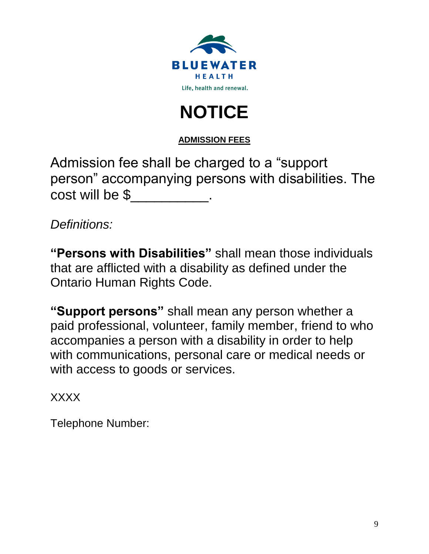



**ADMISSION FEES**

| Admission fee shall be charged to a "support"       |  |
|-----------------------------------------------------|--|
| person" accompanying persons with disabilities. The |  |
| cost will be \$                                     |  |

*Definitions:*

**"Persons with Disabilities"** shall mean those individuals that are afflicted with a disability as defined under the Ontario Human Rights Code.

**"Support persons"** shall mean any person whether a paid professional, volunteer, family member, friend to who accompanies a person with a disability in order to help with communications, personal care or medical needs or with access to goods or services.

XXXX

Telephone Number: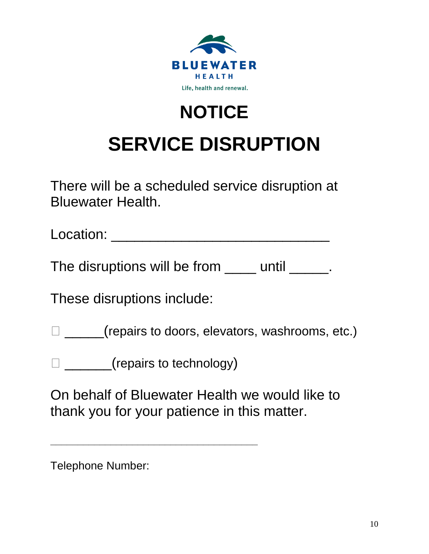

# **NOTICE SERVICE DISRUPTION**

There will be a scheduled service disruption at Bluewater Health.

Location: \_\_\_\_\_\_\_\_\_\_\_\_\_\_\_\_\_\_\_\_\_\_\_\_\_\_\_\_

The disruptions will be from <u>each until ended</u>.

These disruptions include:

□ \_\_\_\_\_(repairs to doors, elevators, washrooms, etc.)

□ \_\_\_\_\_\_(repairs to technology)

**\_\_\_\_\_\_\_\_\_\_\_\_\_\_\_\_\_\_\_\_\_\_\_\_\_\_\_\_\_\_\_\_\_\_\_\_\_\_**

On behalf of Bluewater Health we would like to thank you for your patience in this matter.

Telephone Number: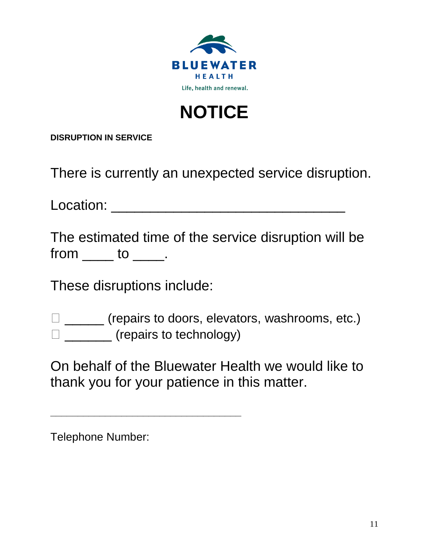

## **NOTICE**

**DISRUPTION IN SERVICE**

There is currently an unexpected service disruption.

Location: \_\_\_\_\_\_\_\_\_\_\_\_\_\_\_\_\_\_\_\_\_\_\_\_\_\_\_\_\_\_

|         |  |  | The estimated time of the service disruption will be |  |
|---------|--|--|------------------------------------------------------|--|
| from to |  |  |                                                      |  |

These disruptions include:

**\_\_\_\_\_\_\_\_\_\_\_\_\_\_\_\_\_\_\_\_\_\_\_\_\_\_\_\_\_\_\_\_\_\_\_**

 \_\_\_\_\_ (repairs to doors, elevators, washrooms, etc.)  $\square$  (repairs to technology)

On behalf of the Bluewater Health we would like to thank you for your patience in this matter.

Telephone Number: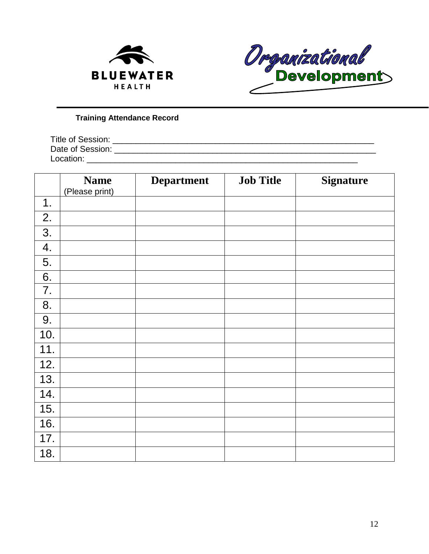



### **Training Attendance Record**

| Title of Session: |  |
|-------------------|--|
| Date of Session:  |  |
| Location:         |  |

|     | <b>Name</b><br>(Please print) | <b>Department</b> | <b>Job Title</b> | <b>Signature</b> |
|-----|-------------------------------|-------------------|------------------|------------------|
| 1.  |                               |                   |                  |                  |
| 2.  |                               |                   |                  |                  |
| 3.  |                               |                   |                  |                  |
| 4.  |                               |                   |                  |                  |
| 5.  |                               |                   |                  |                  |
| 6.  |                               |                   |                  |                  |
| 7.  |                               |                   |                  |                  |
| 8.  |                               |                   |                  |                  |
| 9.  |                               |                   |                  |                  |
| 10. |                               |                   |                  |                  |
| 11. |                               |                   |                  |                  |
| 12. |                               |                   |                  |                  |
| 13. |                               |                   |                  |                  |
| 14. |                               |                   |                  |                  |
| 15. |                               |                   |                  |                  |
| 16. |                               |                   |                  |                  |
| 17. |                               |                   |                  |                  |
| 18. |                               |                   |                  |                  |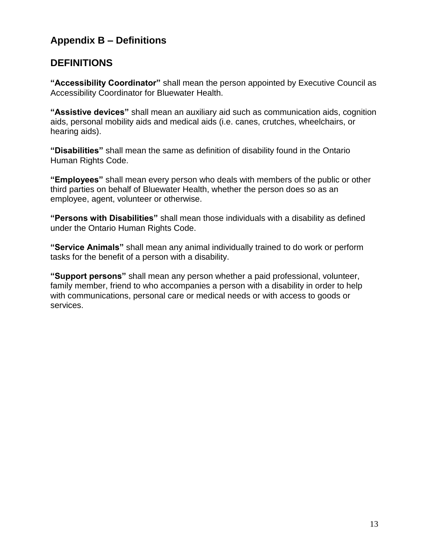## **Appendix B – Definitions**

### **DEFINITIONS**

**"Accessibility Coordinator"** shall mean the person appointed by Executive Council as Accessibility Coordinator for Bluewater Health.

**"Assistive devices"** shall mean an auxiliary aid such as communication aids, cognition aids, personal mobility aids and medical aids (i.e. canes, crutches, wheelchairs, or hearing aids).

**"Disabilities"** shall mean the same as definition of disability found in the Ontario Human Rights Code.

**"Employees"** shall mean every person who deals with members of the public or other third parties on behalf of Bluewater Health, whether the person does so as an employee, agent, volunteer or otherwise.

**"Persons with Disabilities"** shall mean those individuals with a disability as defined under the Ontario Human Rights Code.

**"Service Animals"** shall mean any animal individually trained to do work or perform tasks for the benefit of a person with a disability.

**"Support persons"** shall mean any person whether a paid professional, volunteer, family member, friend to who accompanies a person with a disability in order to help with communications, personal care or medical needs or with access to goods or services.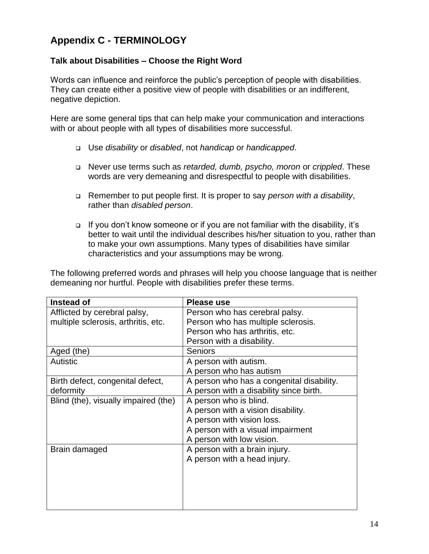## **Appendix C - TERMINOLOGY**

### **Talk about Disabilities – Choose the Right Word**

Words can influence and reinforce the public's perception of people with disabilities. They can create either a positive view of people with disabilities or an indifferent, negative depiction.

Here are some general tips that can help make your communication and interactions with or about people with all types of disabilities more successful.

- Use *disability* or *disabled*, not *handicap* or *handicapped*.
- Never use terms such as *retarded, dumb, psycho, moron* or *crippled*. These words are very demeaning and disrespectful to people with disabilities.
- Remember to put people first. It is proper to say *person with a disability*, rather than *disabled person*.
- If you don't know someone or if you are not familiar with the disability, it's better to wait until the individual describes his/her situation to you, rather than to make your own assumptions. Many types of disabilities have similar characteristics and your assumptions may be wrong.

The following preferred words and phrases will help you choose language that is neither demeaning nor hurtful. People with disabilities prefer these terms.

| Instead of                           | Please use                                |
|--------------------------------------|-------------------------------------------|
| Afflicted by cerebral palsy,         | Person who has cerebral palsy.            |
| multiple sclerosis, arthritis, etc.  | Person who has multiple sclerosis.        |
|                                      | Person who has arthritis, etc.            |
|                                      | Person with a disability.                 |
| Aged (the)                           | <b>Seniors</b>                            |
| <b>Autistic</b>                      | A person with autism.                     |
|                                      | A person who has autism                   |
| Birth defect, congenital defect,     | A person who has a congenital disability. |
| deformity                            | A person with a disability since birth.   |
| Blind (the), visually impaired (the) | A person who is blind.                    |
|                                      | A person with a vision disability.        |
|                                      | A person with vision loss.                |
|                                      | A person with a visual impairment         |
|                                      | A person with low vision.                 |
| Brain damaged                        | A person with a brain injury.             |
|                                      | A person with a head injury.              |
|                                      |                                           |
|                                      |                                           |
|                                      |                                           |
|                                      |                                           |
|                                      |                                           |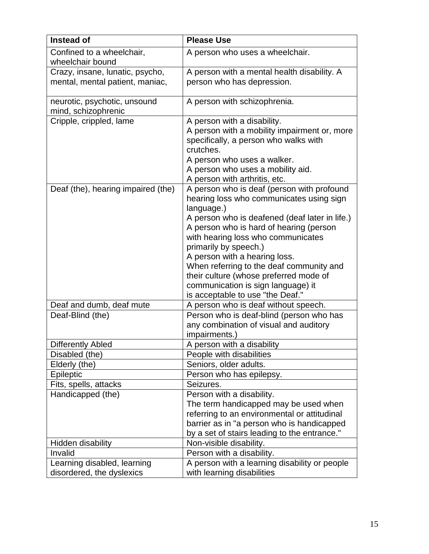| <b>Instead of</b>                                        | <b>Please Use</b>                                                                                                                                                                                                                                                                                                                                                                                                                                                 |
|----------------------------------------------------------|-------------------------------------------------------------------------------------------------------------------------------------------------------------------------------------------------------------------------------------------------------------------------------------------------------------------------------------------------------------------------------------------------------------------------------------------------------------------|
| Confined to a wheelchair,<br>wheelchair bound            | A person who uses a wheelchair.                                                                                                                                                                                                                                                                                                                                                                                                                                   |
| Crazy, insane, lunatic, psycho,                          | A person with a mental health disability. A                                                                                                                                                                                                                                                                                                                                                                                                                       |
| mental, mental patient, maniac,                          | person who has depression.                                                                                                                                                                                                                                                                                                                                                                                                                                        |
| neurotic, psychotic, unsound<br>mind, schizophrenic      | A person with schizophrenia.                                                                                                                                                                                                                                                                                                                                                                                                                                      |
| Cripple, crippled, lame                                  | A person with a disability.<br>A person with a mobility impairment or, more<br>specifically, a person who walks with<br>crutches.<br>A person who uses a walker.<br>A person who uses a mobility aid.<br>A person with arthritis, etc.                                                                                                                                                                                                                            |
| Deaf (the), hearing impaired (the)                       | A person who is deaf (person with profound<br>hearing loss who communicates using sign<br>language.)<br>A person who is deafened (deaf later in life.)<br>A person who is hard of hearing (person<br>with hearing loss who communicates<br>primarily by speech.)<br>A person with a hearing loss.<br>When referring to the deaf community and<br>their culture (whose preferred mode of<br>communication is sign language) it<br>is acceptable to use "the Deaf." |
| Deaf and dumb, deaf mute                                 | A person who is deaf without speech.                                                                                                                                                                                                                                                                                                                                                                                                                              |
| Deaf-Blind (the)                                         | Person who is deaf-blind (person who has<br>any combination of visual and auditory<br>impairments.)                                                                                                                                                                                                                                                                                                                                                               |
| <b>Differently Abled</b>                                 | A person with a disability                                                                                                                                                                                                                                                                                                                                                                                                                                        |
| Disabled (the)                                           | People with disabilities                                                                                                                                                                                                                                                                                                                                                                                                                                          |
| Elderly (the)                                            | Seniors, older adults.                                                                                                                                                                                                                                                                                                                                                                                                                                            |
| Epileptic                                                | Person who has epilepsy.                                                                                                                                                                                                                                                                                                                                                                                                                                          |
| Fits, spells, attacks                                    | Seizures.                                                                                                                                                                                                                                                                                                                                                                                                                                                         |
| Handicapped (the)                                        | Person with a disability.<br>The term handicapped may be used when<br>referring to an environmental or attitudinal<br>barrier as in "a person who is handicapped<br>by a set of stairs leading to the entrance."                                                                                                                                                                                                                                                  |
| Hidden disability                                        | Non-visible disability.                                                                                                                                                                                                                                                                                                                                                                                                                                           |
| Invalid                                                  | Person with a disability.                                                                                                                                                                                                                                                                                                                                                                                                                                         |
| Learning disabled, learning<br>disordered, the dyslexics | A person with a learning disability or people<br>with learning disabilities                                                                                                                                                                                                                                                                                                                                                                                       |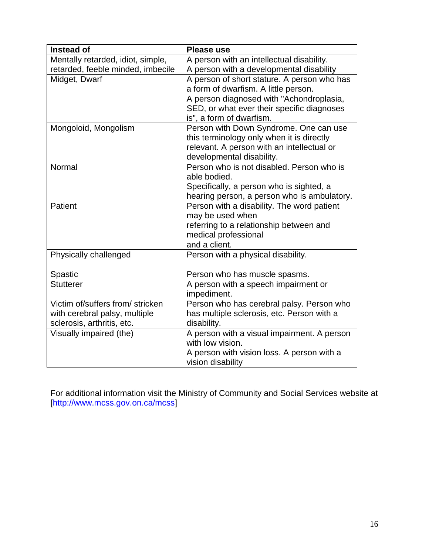| Instead of                        | <b>Please use</b>                                               |
|-----------------------------------|-----------------------------------------------------------------|
| Mentally retarded, idiot, simple, | A person with an intellectual disability.                       |
| retarded, feeble minded, imbecile | A person with a developmental disability                        |
| Midget, Dwarf                     | A person of short stature. A person who has                     |
|                                   | a form of dwarfism. A little person.                            |
|                                   | A person diagnosed with "Achondroplasia,                        |
|                                   | SED, or what ever their specific diagnoses                      |
|                                   | is", a form of dwarfism.                                        |
| Mongoloid, Mongolism              | Person with Down Syndrome. One can use                          |
|                                   | this terminology only when it is directly                       |
|                                   | relevant. A person with an intellectual or                      |
|                                   | developmental disability.                                       |
| Normal                            | Person who is not disabled. Person who is                       |
|                                   | able bodied.                                                    |
|                                   | Specifically, a person who is sighted, a                        |
|                                   | hearing person, a person who is ambulatory.                     |
| Patient                           | Person with a disability. The word patient                      |
|                                   | may be used when                                                |
|                                   | referring to a relationship between and<br>medical professional |
|                                   | and a client.                                                   |
| Physically challenged             | Person with a physical disability.                              |
|                                   |                                                                 |
| Spastic                           | Person who has muscle spasms.                                   |
| <b>Stutterer</b>                  | A person with a speech impairment or                            |
|                                   | impediment.                                                     |
| Victim of/suffers from/ stricken  | Person who has cerebral palsy. Person who                       |
| with cerebral palsy, multiple     | has multiple sclerosis, etc. Person with a                      |
| sclerosis, arthritis, etc.        | disability.                                                     |
| Visually impaired (the)           | A person with a visual impairment. A person                     |
|                                   | with low vision.                                                |
|                                   | A person with vision loss. A person with a                      |
|                                   | vision disability                                               |

For additional information visit the Ministry of Community and Social Services website at [http://www.mcss.gov.on.ca/mcss]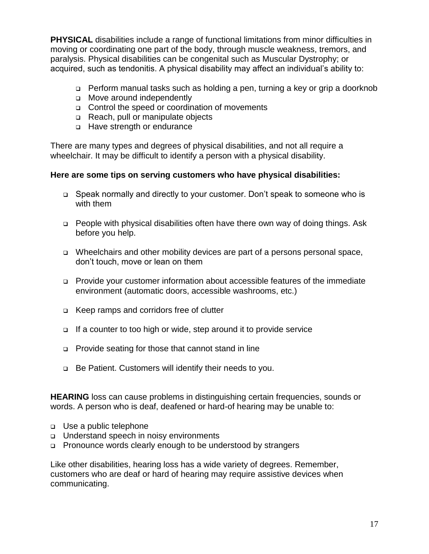**PHYSICAL** disabilities include a range of functional limitations from minor difficulties in moving or coordinating one part of the body, through muscle weakness, tremors, and paralysis. Physical disabilities can be congenital such as Muscular Dystrophy; or acquired, such as tendonitis. A physical disability may affect an individual's ability to:

- Perform manual tasks such as holding a pen, turning a key or grip a doorknob
- **D** Move around independently
- Control the speed or coordination of movements
- Reach, pull or manipulate objects
- □ Have strength or endurance

There are many types and degrees of physical disabilities, and not all require a wheelchair. It may be difficult to identify a person with a physical disability.

### **Here are some tips on serving customers who have physical disabilities:**

- Speak normally and directly to your customer. Don't speak to someone who is with them
- □ People with physical disabilities often have there own way of doing things. Ask before you help.
- Wheelchairs and other mobility devices are part of a persons personal space, don't touch, move or lean on them
- Provide your customer information about accessible features of the immediate environment (automatic doors, accessible washrooms, etc.)
- Keep ramps and corridors free of clutter
- If a counter to too high or wide, step around it to provide service
- Provide seating for those that cannot stand in line
- □ Be Patient. Customers will identify their needs to you.

**HEARING** loss can cause problems in distinguishing certain frequencies, sounds or words. A person who is deaf, deafened or hard-of hearing may be unable to:

- Use a public telephone
- Understand speech in noisy environments
- □ Pronounce words clearly enough to be understood by strangers

Like other disabilities, hearing loss has a wide variety of degrees. Remember, customers who are deaf or hard of hearing may require assistive devices when communicating.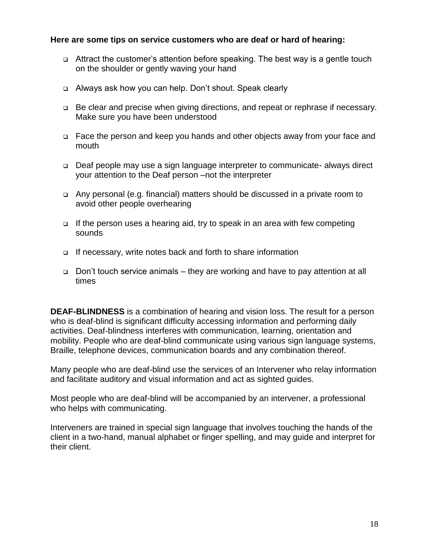### **Here are some tips on service customers who are deaf or hard of hearing:**

- Attract the customer's attention before speaking. The best way is a gentle touch on the shoulder or gently waving your hand
- Always ask how you can help. Don't shout. Speak clearly
- □ Be clear and precise when giving directions, and repeat or rephrase if necessary. Make sure you have been understood
- Face the person and keep you hands and other objects away from your face and mouth
- □ Deaf people may use a sign language interpreter to communicate- always direct your attention to the Deaf person –not the interpreter
- Any personal (e.g. financial) matters should be discussed in a private room to avoid other people overhearing
- If the person uses a hearing aid, try to speak in an area with few competing sounds
- □ If necessary, write notes back and forth to share information
- Don't touch service animals they are working and have to pay attention at all times

**DEAF-BLINDNESS** is a combination of hearing and vision loss. The result for a person who is deaf-blind is significant difficulty accessing information and performing daily activities. Deaf-blindness interferes with communication, learning, orientation and mobility. People who are deaf-blind communicate using various sign language systems, Braille, telephone devices, communication boards and any combination thereof.

Many people who are deaf-blind use the services of an Intervener who relay information and facilitate auditory and visual information and act as sighted guides.

Most people who are deaf-blind will be accompanied by an intervener, a professional who helps with communicating.

Interveners are trained in special sign language that involves touching the hands of the client in a two-hand, manual alphabet or finger spelling, and may guide and interpret for their client.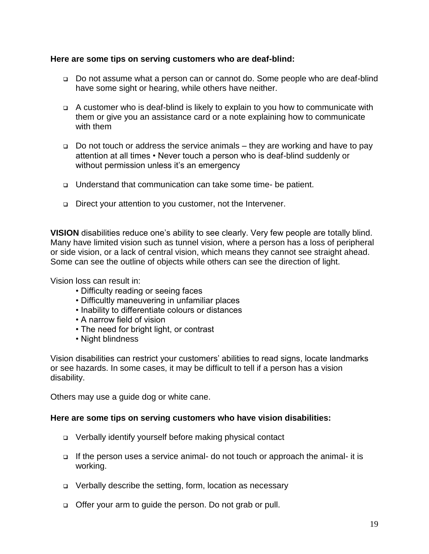### **Here are some tips on serving customers who are deaf-blind:**

- Do not assume what a person can or cannot do. Some people who are deaf-blind have some sight or hearing, while others have neither.
- A customer who is deaf-blind is likely to explain to you how to communicate with them or give you an assistance card or a note explaining how to communicate with them
- Do not touch or address the service animals they are working and have to pay attention at all times • Never touch a person who is deaf-blind suddenly or without permission unless it's an emergency
- □ Understand that communication can take some time- be patient.
- □ Direct your attention to you customer, not the Intervener.

**VISION** disabilities reduce one's ability to see clearly. Very few people are totally blind. Many have limited vision such as tunnel vision, where a person has a loss of peripheral or side vision, or a lack of central vision, which means they cannot see straight ahead. Some can see the outline of objects while others can see the direction of light.

Vision loss can result in:

- Difficulty reading or seeing faces
- Difficultly maneuvering in unfamiliar places
- Inability to differentiate colours or distances
- A narrow field of vision
- The need for bright light, or contrast
- Night blindness

Vision disabilities can restrict your customers' abilities to read signs, locate landmarks or see hazards. In some cases, it may be difficult to tell if a person has a vision disability.

Others may use a guide dog or white cane.

#### **Here are some tips on serving customers who have vision disabilities:**

- Verbally identify yourself before making physical contact
- If the person uses a service animal- do not touch or approach the animal- it is working.
- Verbally describe the setting, form, location as necessary
- □ Offer your arm to guide the person. Do not grab or pull.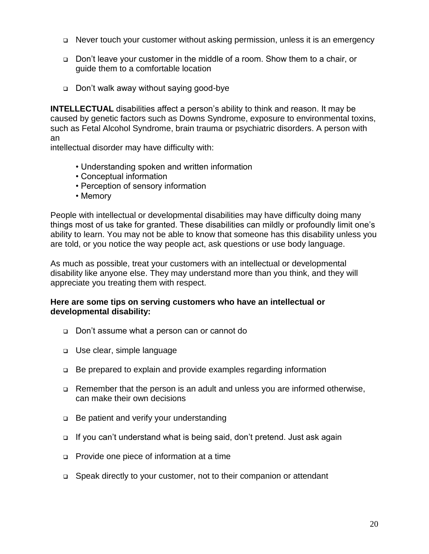- Never touch your customer without asking permission, unless it is an emergency
- Don't leave your customer in the middle of a room. Show them to a chair, or guide them to a comfortable location
- Don't walk away without saying good-bye

**INTELLECTUAL** disabilities affect a person's ability to think and reason. It may be caused by genetic factors such as Downs Syndrome, exposure to environmental toxins, such as Fetal Alcohol Syndrome, brain trauma or psychiatric disorders. A person with an

intellectual disorder may have difficulty with:

- Understanding spoken and written information
- Conceptual information
- Perception of sensory information
- Memory

People with intellectual or developmental disabilities may have difficulty doing many things most of us take for granted. These disabilities can mildly or profoundly limit one's ability to learn. You may not be able to know that someone has this disability unless you are told, or you notice the way people act, ask questions or use body language.

As much as possible, treat your customers with an intellectual or developmental disability like anyone else. They may understand more than you think, and they will appreciate you treating them with respect.

### **Here are some tips on serving customers who have an intellectual or developmental disability:**

- Don't assume what a person can or cannot do
- Use clear, simple language
- Be prepared to explain and provide examples regarding information
- Remember that the person is an adult and unless you are informed otherwise, can make their own decisions
- □ Be patient and verify your understanding
- If you can't understand what is being said, don't pretend. Just ask again
- Provide one piece of information at a time
- □ Speak directly to your customer, not to their companion or attendant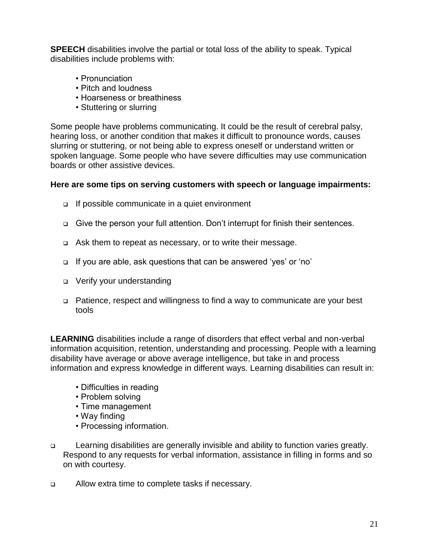**SPEECH** disabilities involve the partial or total loss of the ability to speak. Typical disabilities include problems with:

- Pronunciation
- Pitch and loudness
- Hoarseness or breathiness
- Stuttering or slurring

Some people have problems communicating. It could be the result of cerebral palsy, hearing loss, or another condition that makes it difficult to pronounce words, causes slurring or stuttering, or not being able to express oneself or understand written or spoken language. Some people who have severe difficulties may use communication boards or other assistive devices.

### **Here are some tips on serving customers with speech or language impairments:**

- □ If possible communicate in a quiet environment
- Give the person your full attention. Don't interrupt for finish their sentences.
- □ Ask them to repeat as necessary, or to write their message.
- If you are able, ask questions that can be answered 'yes' or 'no'
- □ Verify your understanding
- Patience, respect and willingness to find a way to communicate are your best tools

**LEARNING** disabilities include a range of disorders that effect verbal and non-verbal information acquisition, retention, understanding and processing. People with a learning disability have average or above average intelligence, but take in and process information and express knowledge in different ways. Learning disabilities can result in:

- Difficulties in reading
- Problem solving
- Time management
- Way finding
- Processing information.
- □ Learning disabilities are generally invisible and ability to function varies greatly. Respond to any requests for verbal information, assistance in filling in forms and so on with courtesy.
- □ Allow extra time to complete tasks if necessary.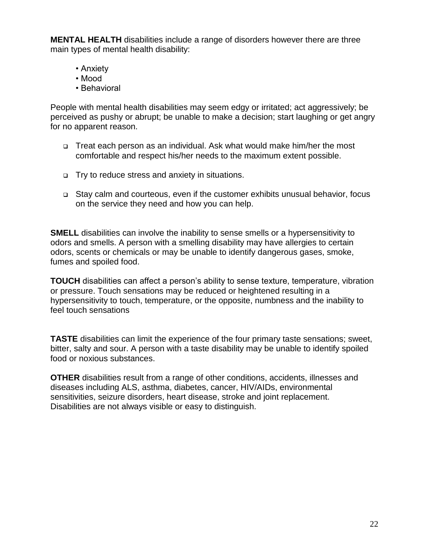**MENTAL HEALTH** disabilities include a range of disorders however there are three main types of mental health disability:

- Anxiety
- Mood
- Behavioral

People with mental health disabilities may seem edgy or irritated; act aggressively; be perceived as pushy or abrupt; be unable to make a decision; start laughing or get angry for no apparent reason.

- Treat each person as an individual. Ask what would make him/her the most comfortable and respect his/her needs to the maximum extent possible.
- □ Try to reduce stress and anxiety in situations.
- Stay calm and courteous, even if the customer exhibits unusual behavior, focus on the service they need and how you can help.

**SMELL** disabilities can involve the inability to sense smells or a hypersensitivity to odors and smells. A person with a smelling disability may have allergies to certain odors, scents or chemicals or may be unable to identify dangerous gases, smoke, fumes and spoiled food.

**TOUCH** disabilities can affect a person's ability to sense texture, temperature, vibration or pressure. Touch sensations may be reduced or heightened resulting in a hypersensitivity to touch, temperature, or the opposite, numbness and the inability to feel touch sensations

**TASTE** disabilities can limit the experience of the four primary taste sensations; sweet, bitter, salty and sour. A person with a taste disability may be unable to identify spoiled food or noxious substances.

**OTHER** disabilities result from a range of other conditions, accidents, illnesses and diseases including ALS, asthma, diabetes, cancer, HIV/AIDs, environmental sensitivities, seizure disorders, heart disease, stroke and joint replacement. Disabilities are not always visible or easy to distinguish.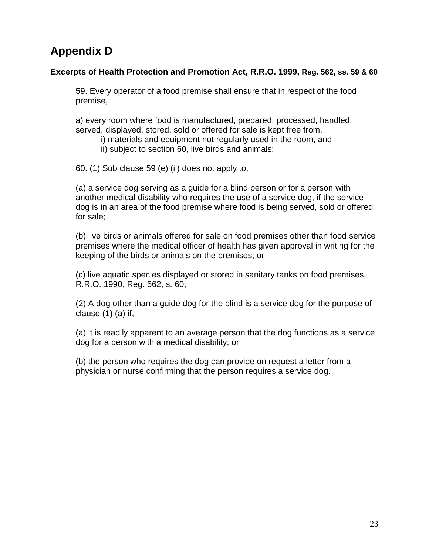## **Appendix D**

### **Excerpts of Health Protection and Promotion Act, R.R.O. 1999, Reg. 562, ss. 59 & 60**

59. Every operator of a food premise shall ensure that in respect of the food premise,

a) every room where food is manufactured, prepared, processed, handled, served, displayed, stored, sold or offered for sale is kept free from,

- i) materials and equipment not regularly used in the room, and
- ii) subject to section 60, live birds and animals;

60. (1) Sub clause 59 (e) (ii) does not apply to,

(a) a service dog serving as a guide for a blind person or for a person with another medical disability who requires the use of a service dog, if the service dog is in an area of the food premise where food is being served, sold or offered for sale;

(b) live birds or animals offered for sale on food premises other than food service premises where the medical officer of health has given approval in writing for the keeping of the birds or animals on the premises; or

(c) live aquatic species displayed or stored in sanitary tanks on food premises. R.R.O. 1990, Reg. 562, s. 60;

(2) A dog other than a guide dog for the blind is a service dog for the purpose of clause (1) (a) if,

(a) it is readily apparent to an average person that the dog functions as a service dog for a person with a medical disability; or

(b) the person who requires the dog can provide on request a letter from a physician or nurse confirming that the person requires a service dog.